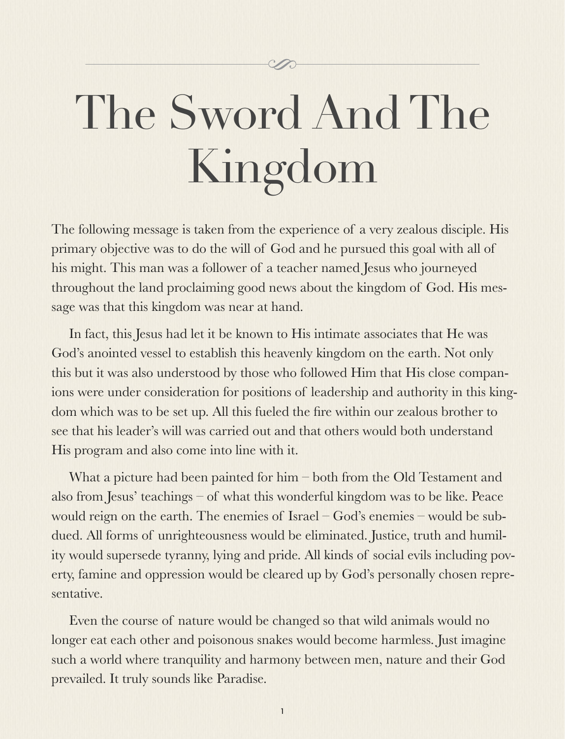# The Sword And The Kingdom

The following message is taken from the experience of a very zealous disciple. His primary objective was to do the will of God and he pursued this goal with all of his might. This man was a follower of a teacher named Jesus who journeyed throughout the land proclaiming good news about the kingdom of God. His message was that this kingdom was near at hand.

In fact, this Jesus had let it be known to His intimate associates that He was God's anointed vessel to establish this heavenly kingdom on the earth. Not only this but it was also understood by those who followed Him that His close companions were under consideration for positions of leadership and authority in this kingdom which was to be set up. All this fueled the fire within our zealous brother to see that his leader's will was carried out and that others would both understand His program and also come into line with it.

What a picture had been painted for him – both from the Old Testament and also from Jesus' teachings – of what this wonderful kingdom was to be like. Peace would reign on the earth. The enemies of Israel – God's enemies – would be subdued. All forms of unrighteousness would be eliminated. Justice, truth and humility would supersede tyranny, lying and pride. All kinds of social evils including poverty, famine and oppression would be cleared up by God's personally chosen representative.

Even the course of nature would be changed so that wild animals would no longer eat each other and poisonous snakes would become harmless. Just imagine such a world where tranquility and harmony between men, nature and their God prevailed. It truly sounds like Paradise.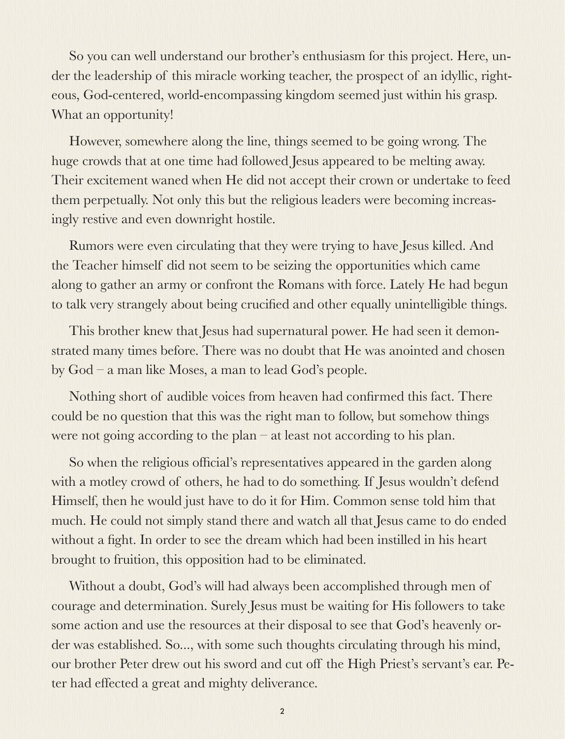So you can well understand our brother's enthusiasm for this project. Here, under the leadership of this miracle working teacher, the prospect of an idyllic, righteous, God-centered, world-encompassing kingdom seemed just within his grasp. What an opportunity!

However, somewhere along the line, things seemed to be going wrong. The huge crowds that at one time had followed Jesus appeared to be melting away. Their excitement waned when He did not accept their crown or undertake to feed them perpetually. Not only this but the religious leaders were becoming increasingly restive and even downright hostile.

Rumors were even circulating that they were trying to have Jesus killed. And the Teacher himself did not seem to be seizing the opportunities which came along to gather an army or confront the Romans with force. Lately He had begun to talk very strangely about being crucified and other equally unintelligible things.

This brother knew that Jesus had supernatural power. He had seen it demonstrated many times before. There was no doubt that He was anointed and chosen by God – a man like Moses, a man to lead God's people.

Nothing short of audible voices from heaven had confirmed this fact. There could be no question that this was the right man to follow, but somehow things were not going according to the plan – at least not according to his plan.

So when the religious official's representatives appeared in the garden along with a motley crowd of others, he had to do something. If Jesus wouldn't defend Himself, then he would just have to do it for Him. Common sense told him that much. He could not simply stand there and watch all that Jesus came to do ended without a fight. In order to see the dream which had been instilled in his heart brought to fruition, this opposition had to be eliminated.

Without a doubt, God's will had always been accomplished through men of courage and determination. Surely Jesus must be waiting for His followers to take some action and use the resources at their disposal to see that God's heavenly order was established. So..., with some such thoughts circulating through his mind, our brother Peter drew out his sword and cut off the High Priest's servant's ear. Peter had effected a great and mighty deliverance.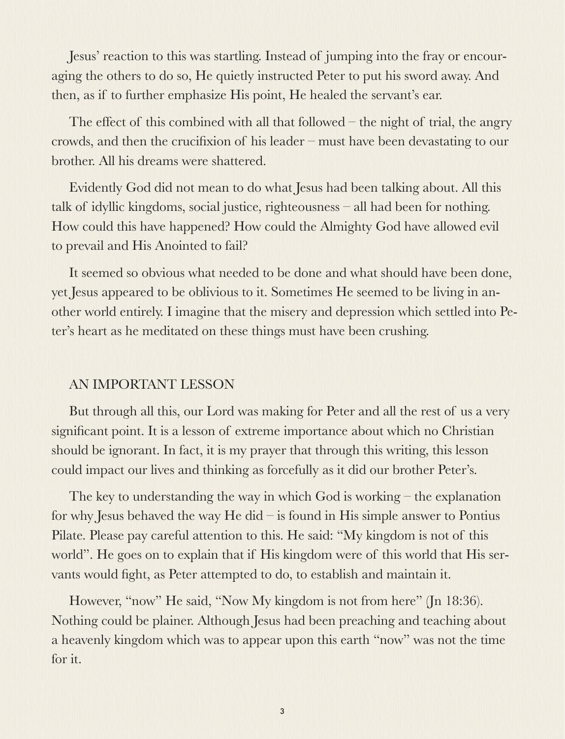Jesus' reaction to this was startling. Instead of jumping into the fray or encouraging the others to do so, He quietly instructed Peter to put his sword away. And then, as if to further emphasize His point, He healed the servant's ear.

The effect of this combined with all that followed – the night of trial, the angry crowds, and then the crucifixion of his leader – must have been devastating to our brother. All his dreams were shattered.

Evidently God did not mean to do what Jesus had been talking about. All this talk of idyllic kingdoms, social justice, righteousness – all had been for nothing. How could this have happened? How could the Almighty God have allowed evil to prevail and His Anointed to fail?

It seemed so obvious what needed to be done and what should have been done, yet Jesus appeared to be oblivious to it. Sometimes He seemed to be living in another world entirely. I imagine that the misery and depression which settled into Peter's heart as he meditated on these things must have been crushing.

#### AN IMPORTANT LESSON

But through all this, our Lord was making for Peter and all the rest of us a very significant point. It is a lesson of extreme importance about which no Christian should be ignorant. In fact, it is my prayer that through this writing, this lesson could impact our lives and thinking as forcefully as it did our brother Peter's.

The key to understanding the way in which God is working – the explanation for why Jesus behaved the way He did – is found in His simple answer to Pontius Pilate. Please pay careful attention to this. He said: "My kingdom is not of this world". He goes on to explain that if His kingdom were of this world that His servants would fight, as Peter attempted to do, to establish and maintain it.

However, "now" He said, "Now My kingdom is not from here" (Jn 18:36). Nothing could be plainer. Although Jesus had been preaching and teaching about a heavenly kingdom which was to appear upon this earth "now" was not the time for it.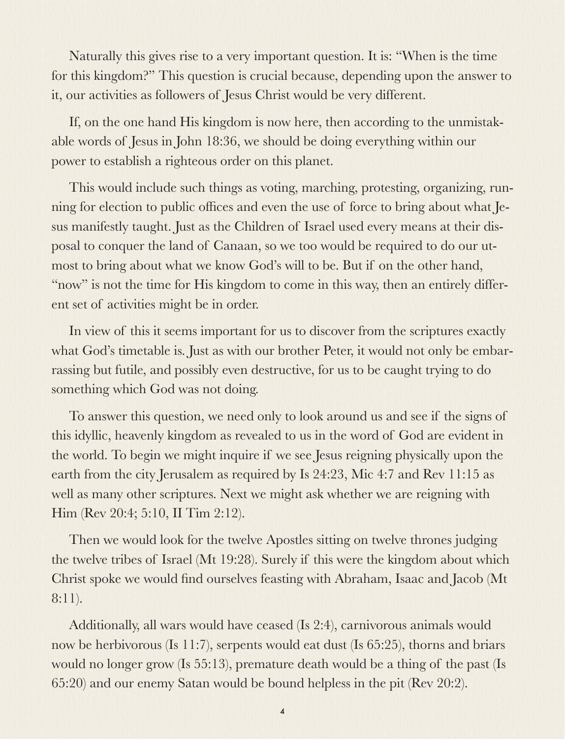Naturally this gives rise to a very important question. It is: "When is the time for this kingdom?" This question is crucial because, depending upon the answer to it, our activities as followers of Jesus Christ would be very different.

If, on the one hand His kingdom is now here, then according to the unmistakable words of Jesus in John 18:36, we should be doing everything within our power to establish a righteous order on this planet.

This would include such things as voting, marching, protesting, organizing, running for election to public offices and even the use of force to bring about what Jesus manifestly taught. Just as the Children of Israel used every means at their disposal to conquer the land of Canaan, so we too would be required to do our utmost to bring about what we know God's will to be. But if on the other hand, "now" is not the time for His kingdom to come in this way, then an entirely different set of activities might be in order.

In view of this it seems important for us to discover from the scriptures exactly what God's timetable is. Just as with our brother Peter, it would not only be embarrassing but futile, and possibly even destructive, for us to be caught trying to do something which God was not doing.

To answer this question, we need only to look around us and see if the signs of this idyllic, heavenly kingdom as revealed to us in the word of God are evident in the world. To begin we might inquire if we see Jesus reigning physically upon the earth from the city Jerusalem as required by Is 24:23, Mic 4:7 and Rev 11:15 as well as many other scriptures. Next we might ask whether we are reigning with Him (Rev 20:4; 5:10, II Tim 2:12).

Then we would look for the twelve Apostles sitting on twelve thrones judging the twelve tribes of Israel (Mt 19:28). Surely if this were the kingdom about which Christ spoke we would find ourselves feasting with Abraham, Isaac and Jacob (Mt 8:11).

Additionally, all wars would have ceased (Is 2:4), carnivorous animals would now be herbivorous (Is 11:7), serpents would eat dust (Is 65:25), thorns and briars would no longer grow (Is 55:13), premature death would be a thing of the past (Is 65:20) and our enemy Satan would be bound helpless in the pit (Rev 20:2).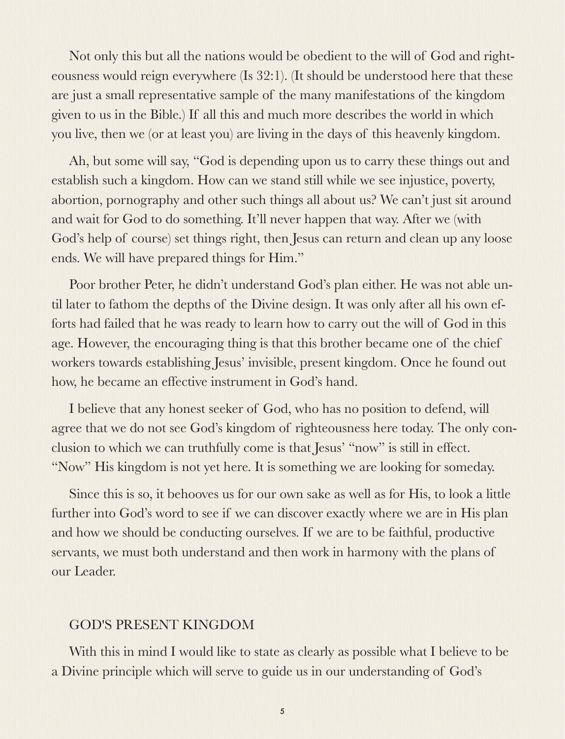Not only this but all the nations would be obedient to the will of God and righteousness would reign everywhere (Is 32:1). (It should be understood here that these are just a small representative sample of the many manifestations of the kingdom given to us in the Bible.) If all this and much more describes the world in which you live, then we (or at least you) are living in the days of this heavenly kingdom.

Ah, but some will say, "God is depending upon us to carry these things out and establish such a kingdom. How can we stand still while we see injustice, poverty, abortion, pornography and other such things all about us? We can't just sit around and wait for God to do something. It'll never happen that way. After we (with God's help of course) set things right, then Jesus can return and clean up any loose ends. We will have prepared things for Him."

Poor brother Peter, he didn't understand God's plan either. He was not able until later to fathom the depths of the Divine design. It was only after all his own efforts had failed that he was ready to learn how to carry out the will of God in this age. However, the encouraging thing is that this brother became one of the chief workers towards establishing Jesus' invisible, present kingdom. Once he found out how, he became an effective instrument in God's hand.

I believe that any honest seeker of God, who has no position to defend, will agree that we do not see God's kingdom of righteousness here today. The only conclusion to which we can truthfully come is that Jesus' "now" is still in effect. "Now" His kingdom is not yet here. It is something we are looking for someday.

Since this is so, it behooves us for our own sake as well as for His, to look a little further into God's word to see if we can discover exactly where we are in His plan and how we should be conducting ourselves. If we are to be faithful, productive servants, we must both understand and then work in harmony with the plans of our Leader.

#### GOD'S PRESENT KINGDOM

With this in mind I would like to state as clearly as possible what I believe to be a Divine principle which will serve to guide us in our understanding of God's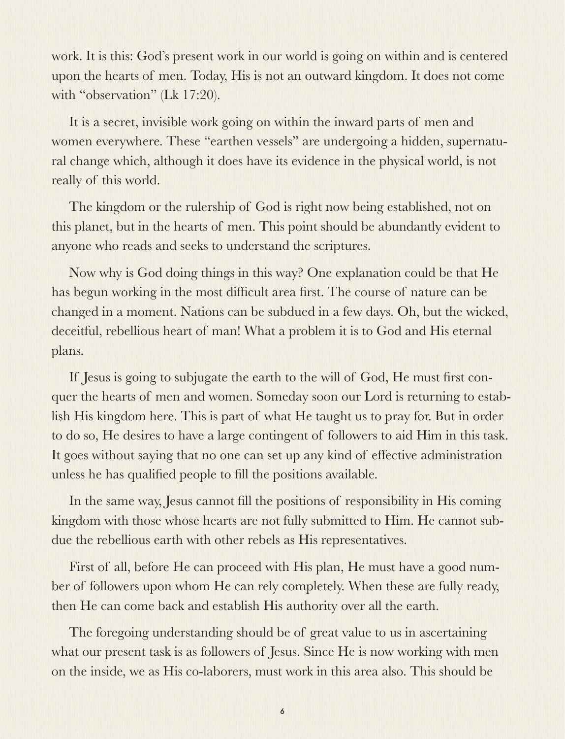work. It is this: God's present work in our world is going on within and is centered upon the hearts of men. Today, His is not an outward kingdom. It does not come with "observation" (Lk 17:20).

It is a secret, invisible work going on within the inward parts of men and women everywhere. These "earthen vessels" are undergoing a hidden, supernatural change which, although it does have its evidence in the physical world, is not really of this world.

The kingdom or the rulership of God is right now being established, not on this planet, but in the hearts of men. This point should be abundantly evident to anyone who reads and seeks to understand the scriptures.

Now why is God doing things in this way? One explanation could be that He has begun working in the most difficult area first. The course of nature can be changed in a moment. Nations can be subdued in a few days. Oh, but the wicked, deceitful, rebellious heart of man! What a problem it is to God and His eternal plans.

If Jesus is going to subjugate the earth to the will of God, He must first conquer the hearts of men and women. Someday soon our Lord is returning to establish His kingdom here. This is part of what He taught us to pray for. But in order to do so, He desires to have a large contingent of followers to aid Him in this task. It goes without saying that no one can set up any kind of effective administration unless he has qualified people to fill the positions available.

In the same way, Jesus cannot fill the positions of responsibility in His coming kingdom with those whose hearts are not fully submitted to Him. He cannot subdue the rebellious earth with other rebels as His representatives.

First of all, before He can proceed with His plan, He must have a good number of followers upon whom He can rely completely. When these are fully ready, then He can come back and establish His authority over all the earth.

The foregoing understanding should be of great value to us in ascertaining what our present task is as followers of Jesus. Since He is now working with men on the inside, we as His co-laborers, must work in this area also. This should be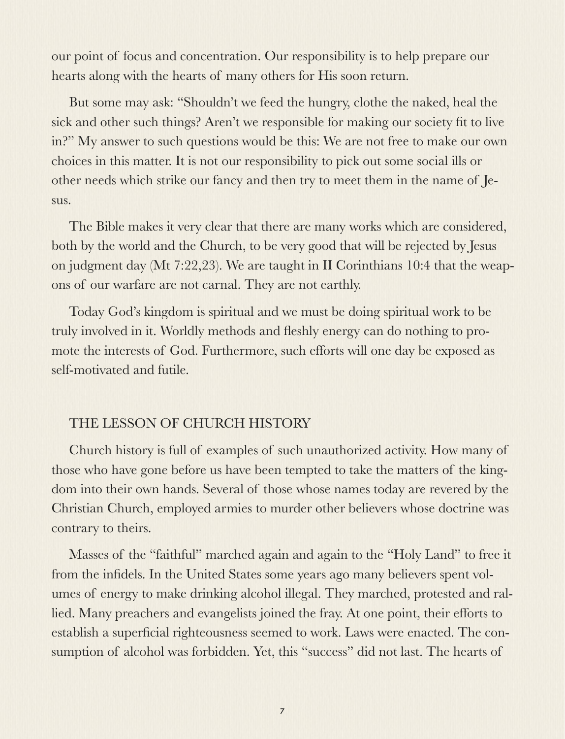our point of focus and concentration. Our responsibility is to help prepare our hearts along with the hearts of many others for His soon return.

But some may ask: "Shouldn't we feed the hungry, clothe the naked, heal the sick and other such things? Aren't we responsible for making our society fit to live in?" My answer to such questions would be this: We are not free to make our own choices in this matter. It is not our responsibility to pick out some social ills or other needs which strike our fancy and then try to meet them in the name of Jesus.

The Bible makes it very clear that there are many works which are considered, both by the world and the Church, to be very good that will be rejected by Jesus on judgment day (Mt 7:22,23). We are taught in II Corinthians 10:4 that the weapons of our warfare are not carnal. They are not earthly.

Today God's kingdom is spiritual and we must be doing spiritual work to be truly involved in it. Worldly methods and fleshly energy can do nothing to promote the interests of God. Furthermore, such efforts will one day be exposed as self-motivated and futile.

## THE LESSON OF CHURCH HISTORY

Church history is full of examples of such unauthorized activity. How many of those who have gone before us have been tempted to take the matters of the kingdom into their own hands. Several of those whose names today are revered by the Christian Church, employed armies to murder other believers whose doctrine was contrary to theirs.

Masses of the "faithful" marched again and again to the "Holy Land" to free it from the infidels. In the United States some years ago many believers spent volumes of energy to make drinking alcohol illegal. They marched, protested and rallied. Many preachers and evangelists joined the fray. At one point, their efforts to establish a superficial righteousness seemed to work. Laws were enacted. The consumption of alcohol was forbidden. Yet, this "success" did not last. The hearts of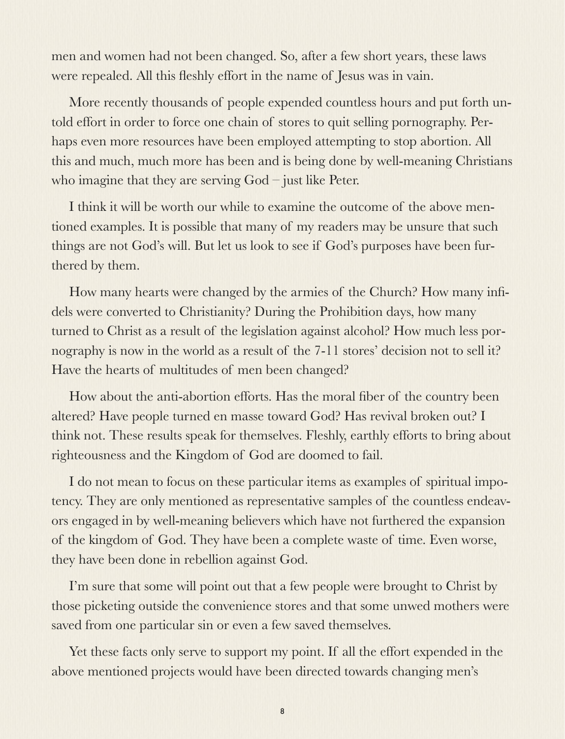men and women had not been changed. So, after a few short years, these laws were repealed. All this fleshly effort in the name of Jesus was in vain.

More recently thousands of people expended countless hours and put forth untold effort in order to force one chain of stores to quit selling pornography. Perhaps even more resources have been employed attempting to stop abortion. All this and much, much more has been and is being done by well-meaning Christians who imagine that they are serving God – just like Peter.

I think it will be worth our while to examine the outcome of the above mentioned examples. It is possible that many of my readers may be unsure that such things are not God's will. But let us look to see if God's purposes have been furthered by them.

How many hearts were changed by the armies of the Church? How many infidels were converted to Christianity? During the Prohibition days, how many turned to Christ as a result of the legislation against alcohol? How much less pornography is now in the world as a result of the 7-11 stores' decision not to sell it? Have the hearts of multitudes of men been changed?

How about the anti-abortion efforts. Has the moral fiber of the country been altered? Have people turned en masse toward God? Has revival broken out? I think not. These results speak for themselves. Fleshly, earthly efforts to bring about righteousness and the Kingdom of God are doomed to fail.

I do not mean to focus on these particular items as examples of spiritual impotency. They are only mentioned as representative samples of the countless endeavors engaged in by well-meaning believers which have not furthered the expansion of the kingdom of God. They have been a complete waste of time. Even worse, they have been done in rebellion against God.

I'm sure that some will point out that a few people were brought to Christ by those picketing outside the convenience stores and that some unwed mothers were saved from one particular sin or even a few saved themselves.

Yet these facts only serve to support my point. If all the effort expended in the above mentioned projects would have been directed towards changing men's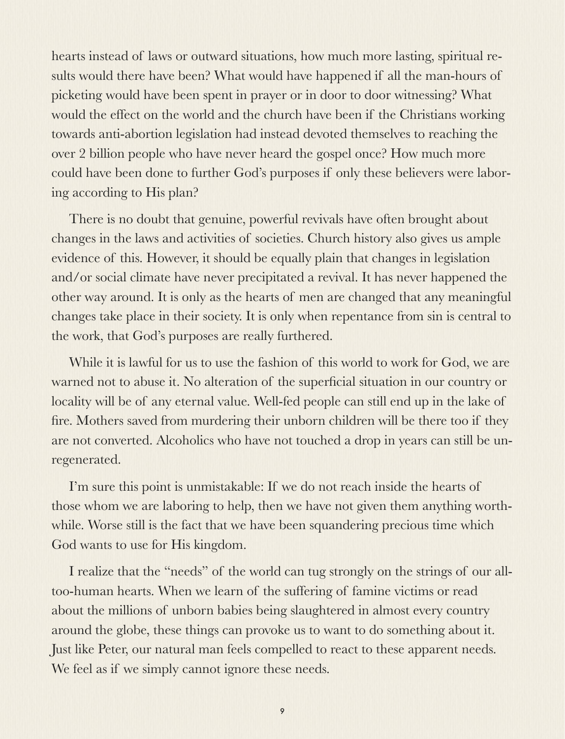hearts instead of laws or outward situations, how much more lasting, spiritual results would there have been? What would have happened if all the man-hours of picketing would have been spent in prayer or in door to door witnessing? What would the effect on the world and the church have been if the Christians working towards anti-abortion legislation had instead devoted themselves to reaching the over 2 billion people who have never heard the gospel once? How much more could have been done to further God's purposes if only these believers were laboring according to His plan?

There is no doubt that genuine, powerful revivals have often brought about changes in the laws and activities of societies. Church history also gives us ample evidence of this. However, it should be equally plain that changes in legislation and/or social climate have never precipitated a revival. It has never happened the other way around. It is only as the hearts of men are changed that any meaningful changes take place in their society. It is only when repentance from sin is central to the work, that God's purposes are really furthered.

While it is lawful for us to use the fashion of this world to work for God, we are warned not to abuse it. No alteration of the superficial situation in our country or locality will be of any eternal value. Well-fed people can still end up in the lake of fire. Mothers saved from murdering their unborn children will be there too if they are not converted. Alcoholics who have not touched a drop in years can still be unregenerated.

I'm sure this point is unmistakable: If we do not reach inside the hearts of those whom we are laboring to help, then we have not given them anything worthwhile. Worse still is the fact that we have been squandering precious time which God wants to use for His kingdom.

I realize that the "needs" of the world can tug strongly on the strings of our alltoo-human hearts. When we learn of the suffering of famine victims or read about the millions of unborn babies being slaughtered in almost every country around the globe, these things can provoke us to want to do something about it. Just like Peter, our natural man feels compelled to react to these apparent needs. We feel as if we simply cannot ignore these needs.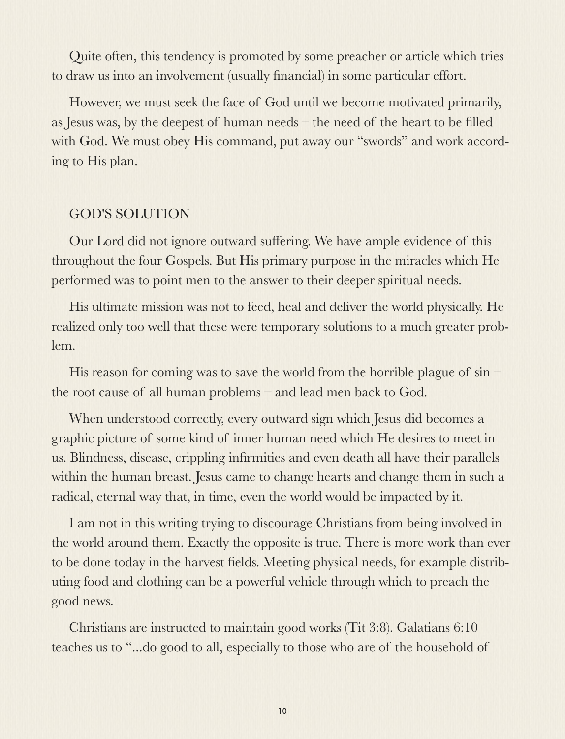Quite often, this tendency is promoted by some preacher or article which tries to draw us into an involvement (usually financial) in some particular effort.

However, we must seek the face of God until we become motivated primarily, as Jesus was, by the deepest of human needs – the need of the heart to be filled with God. We must obey His command, put away our "swords" and work according to His plan.

### GOD'S SOLUTION

Our Lord did not ignore outward suffering. We have ample evidence of this throughout the four Gospels. But His primary purpose in the miracles which He performed was to point men to the answer to their deeper spiritual needs.

His ultimate mission was not to feed, heal and deliver the world physically. He realized only too well that these were temporary solutions to a much greater problem.

His reason for coming was to save the world from the horrible plague of  $sin$ the root cause of all human problems – and lead men back to God.

When understood correctly, every outward sign which Jesus did becomes a graphic picture of some kind of inner human need which He desires to meet in us. Blindness, disease, crippling infirmities and even death all have their parallels within the human breast. Jesus came to change hearts and change them in such a radical, eternal way that, in time, even the world would be impacted by it.

I am not in this writing trying to discourage Christians from being involved in the world around them. Exactly the opposite is true. There is more work than ever to be done today in the harvest fields. Meeting physical needs, for example distributing food and clothing can be a powerful vehicle through which to preach the good news.

Christians are instructed to maintain good works (Tit 3:8). Galatians 6:10 teaches us to "...do good to all, especially to those who are of the household of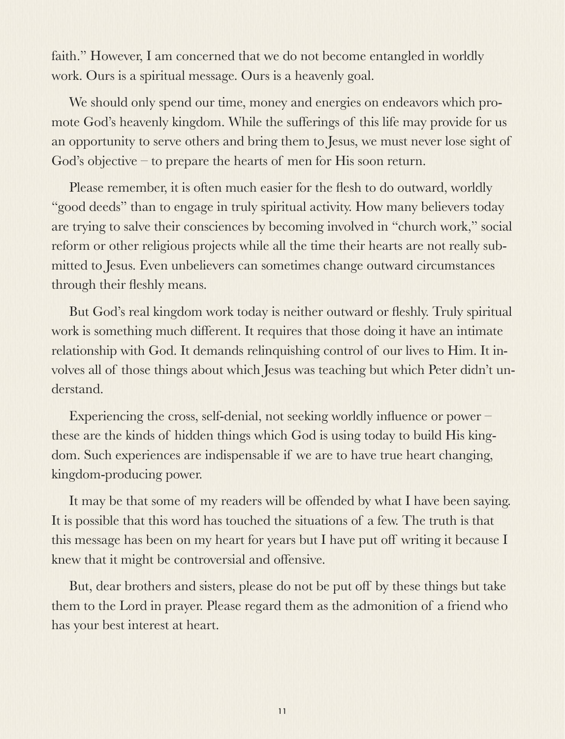faith." However, I am concerned that we do not become entangled in worldly work. Ours is a spiritual message. Ours is a heavenly goal.

We should only spend our time, money and energies on endeavors which promote God's heavenly kingdom. While the sufferings of this life may provide for us an opportunity to serve others and bring them to Jesus, we must never lose sight of God's objective – to prepare the hearts of men for His soon return.

Please remember, it is often much easier for the flesh to do outward, worldly "good deeds" than to engage in truly spiritual activity. How many believers today are trying to salve their consciences by becoming involved in "church work," social reform or other religious projects while all the time their hearts are not really submitted to Jesus. Even unbelievers can sometimes change outward circumstances through their fleshly means.

But God's real kingdom work today is neither outward or fleshly. Truly spiritual work is something much different. It requires that those doing it have an intimate relationship with God. It demands relinquishing control of our lives to Him. It involves all of those things about which Jesus was teaching but which Peter didn't understand.

Experiencing the cross, self-denial, not seeking worldly influence or power – these are the kinds of hidden things which God is using today to build His kingdom. Such experiences are indispensable if we are to have true heart changing, kingdom-producing power.

It may be that some of my readers will be offended by what I have been saying. It is possible that this word has touched the situations of a few. The truth is that this message has been on my heart for years but I have put off writing it because I knew that it might be controversial and offensive.

But, dear brothers and sisters, please do not be put off by these things but take them to the Lord in prayer. Please regard them as the admonition of a friend who has your best interest at heart.